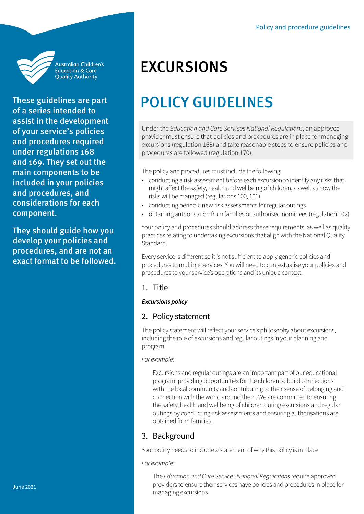

Australian Children's **Education & Care Quality Authority** 

These guidelines are part of a series intended to assist in the development of your service's policies and procedures required under regulations 168 and 169. They set out the main components to be included in your policies and procedures, and considerations for each component.

They should guide how you develop your policies and procedures, and are not an exact format to be followed.

## EXCURSIONS

## POLICY GUIDELINES

Under the *Education and Care Services National Regulations*, an approved provider must ensure that policies and procedures are in place for managing excursions (regulation 168) and take reasonable steps to ensure policies and procedures are followed (regulation 170).

The policy and procedures must include the following:

- conducting a risk assessment before each excursion to identify any risks that might affect the safety, health and wellbeing of children, as well as how the risks will be managed (regulations 100, 101)
- conducting periodic new risk assessments for regular outings
- obtaining authorisation from families or authorised nominees (regulation 102).

Your policy and procedures should address these requirements, as well as quality practices relating to undertaking excursions that align with the National Quality Standard.

Every service is different so it is not sufficient to apply generic policies and procedures to multiple services. You will need to contextualise your policies and procedures to your service's operations and its unique context.

#### 1. Title

#### *Excursions policy*

#### 2. Policy statement

The policy statement will reflect your service's philosophy about excursions, including the role of excursions and regular outings in your planning and program.

#### *For example:*

Excursions and regular outings are an important part of our educational program, providing opportunities for the children to build connections with the local community and contributing to their sense of belonging and connection with the world around them. We are committed to ensuring the safety, health and wellbeing of children during excursions and regular outings by conducting risk assessments and ensuring authorisations are obtained from families.

### 3. Background

Your policy needs to include a statement of why this policy is in place.

#### *For example:*

The *Education and Care Services National Regulations* require approved providers to ensure their services have policies and procedures in place for managing excursions.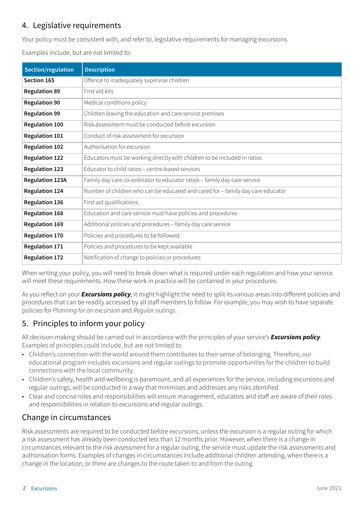### 4. Legislative requirements

Your policy must be consistent with, and refer to, legislative requirements for managing excursions.

Examples include, but are not limited to:

| Section/regulation     | <b>Description</b>                                                              |
|------------------------|---------------------------------------------------------------------------------|
| Section 165            | Offence to inadequately supervise children                                      |
| <b>Regulation 89</b>   | First aid kits                                                                  |
| <b>Regulation 90</b>   | Medical conditions policy                                                       |
| <b>Regulation 99</b>   | Children leaving the education and care service premises                        |
| <b>Regulation 100</b>  | Risk assessment must be conducted before excursion                              |
| <b>Regulation 101</b>  | Conduct of risk assessment for excursion                                        |
| <b>Regulation 102</b>  | Authorisation for excursion                                                     |
| <b>Regulation 122</b>  | Educators must be working directly with children to be included in ratios       |
| <b>Regulation 123</b>  | Educator to child ratios - centre-based services                                |
| <b>Regulation 123A</b> | Family day care co-ordinator to educator ratios - family day care service       |
| <b>Regulation 124</b>  | Number of children who can be educated and cared for - family day care educator |
| <b>Regulation 136</b>  | First aid qualifications                                                        |
| <b>Regulation 168</b>  | Education and care service must have policies and procedures                    |
| <b>Regulation 169</b>  | Additional policies and procedures - family day care service                    |
| <b>Regulation 170</b>  | Policies and procedures to be followed                                          |
| <b>Regulation 171</b>  | Policies and procedures to be kept available                                    |
| <b>Regulation 172</b>  | Notification of change to policies or procedures                                |

When writing your policy, you will need to break down what is required under each regulation and how your service will meet these requirements. How these work in practice will be contained in your procedures.

As you reflect on your *Excursions policy,* it might highlight the need to split its various areas into different policies and procedures that can be readily accessed by all staff members to follow. For example, you may wish to have separate policies for *Planning for an excursion* and *Regular outings*.

## 5. Principles to inform your policy

All decision-making should be carried out in accordance with the principles of your service's *Excursions policy*. Examples of principles could include, but are not limited to:

- Children's connection with the world around them contributes to their sense of belonging. Therefore, our educational program includes excursions and regular outings to promote opportunities for the children to build connections with the local community.
- Children's safety, health and wellbeing is paramount, and all experiences for the service, including excursions and regular outings, will be conducted in a way that minimises and addresses any risks identified.
- Clear and concise roles and responsibilities will ensure management, educators and staff are aware of their roles and responsibilities in relation to excursions and regular outings.

### Change in circumstances

Risk assessments are required to be conducted before excursions, unless the excursion is a regular outing for which a risk assessment has already been conducted less than 12 months prior. However, when there is a change in circumstances relevant to the risk assessment for a regular outing, the service must update the risk assessments and authorisation forms. Examples of changes in circumstances include additional children attending, when there is a change in the location, or there are changes to the route taken to and from the outing.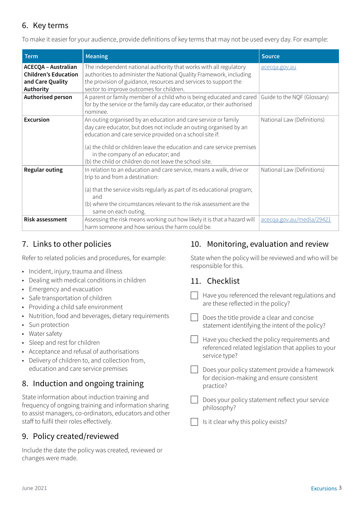#### 6. Key terms

To make it easier for your audience, provide definitions of key terms that may not be used every day. For example:

| <b>Term</b>                                                                                | <b>Meaning</b>                                                                                                                                                                                                                                                                                                                                                              | <b>Source</b>               |
|--------------------------------------------------------------------------------------------|-----------------------------------------------------------------------------------------------------------------------------------------------------------------------------------------------------------------------------------------------------------------------------------------------------------------------------------------------------------------------------|-----------------------------|
| <b>ACECQA - Australian</b><br><b>Children's Education</b><br>and Care Quality<br>Authority | The independent national authority that works with all regulatory<br>authorities to administer the National Quality Framework, including<br>the provision of guidance, resources and services to support the<br>sector to improve outcomes for children.                                                                                                                    | acecqa.gov.au               |
| Authorised person                                                                          | A parent or family member of a child who is being educated and cared<br>for by the service or the family day care educator, or their authorised<br>nominee                                                                                                                                                                                                                  | Guide to the NQF (Glossary) |
| <b>Excursion</b>                                                                           | An outing organised by an education and care service or family<br>day care educator, but does not include an outing organised by an<br>education and care service provided on a school site if:<br>(a) the child or children leave the education and care service premises<br>in the company of an educator; and<br>(b) the child or children do not leave the school site. | National Law (Definitions)  |
| <b>Regular outing</b>                                                                      | In relation to an education and care service, means a walk, drive or<br>trip to and from a destination:<br>(a) that the service visits regularly as part of its educational program;<br>and<br>(b) where the circumstances relevant to the risk assessment are the<br>same on each outing.                                                                                  | National Law (Definitions)  |
| <b>Risk assessment</b>                                                                     | Assessing the risk means working out how likely it is that a hazard will<br>harm someone and how serious the harm could be.                                                                                                                                                                                                                                                 | acecqa.gov.au/media/29421   |

### 7. Links to other policies

Refer to related policies and procedures, for example:

- Incident, injury, trauma and illness
- Dealing with medical conditions in children
- Emergency and evacuation
- Safe transportation of children
- Providing a child safe environment
- Nutrition, food and beverages, dietary requirements
- Sun protection
- Water safety
- Sleep and rest for children
- Acceptance and refusal of authorisations
- Delivery of children to, and collection from, education and care service premises

### 8. Induction and ongoing training

State information about induction training and frequency of ongoing training and information sharing to assist managers, co-ordinators, educators and other staff to fulfil their roles effectively.

### 9. Policy created/reviewed

Include the date the policy was created, reviewed or changes were made.

### 10. Monitoring, evaluation and review

State when the policy will be reviewed and who will be responsible for this.

#### 11. Checklist

- $\vert \vert$  Have you referenced the relevant regulations and are these reflected in the policy?
- $\Box$  Does the title provide a clear and concise statement identifying the intent of the policy?
- Have you checked the policy requirements and referenced related legislation that applies to your service type?
- Does your policy statement provide a framework for decision-making and ensure consistent practice?

Does your policy statement reflect your service philosophy?

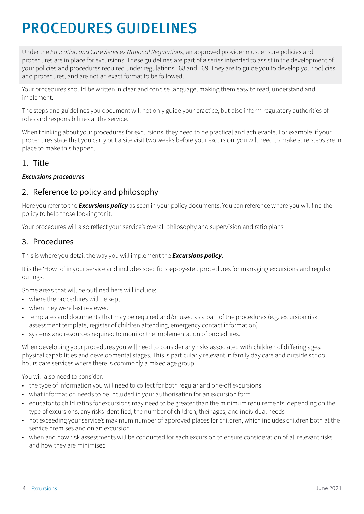# PROCEDURES GUIDELINES

Under the *Education and Care Services National Regulations*, an approved provider must ensure policies and procedures are in place for excursions. These guidelines are part of a series intended to assist in the development of your policies and procedures required under regulations 168 and 169. They are to guide you to develop your policies and procedures, and are not an exact format to be followed.

Your procedures should be written in clear and concise language, making them easy to read, understand and implement.

The steps and guidelines you document will not only guide your practice, but also inform regulatory authorities of roles and responsibilities at the service.

When thinking about your procedures for excursions, they need to be practical and achievable. For example, if your procedures state that you carry out a site visit two weeks before your excursion, you will need to make sure steps are in place to make this happen.

#### 1. Title

#### *Excursions procedures*

#### 2. Reference to policy and philosophy

Here you refer to the *Excursions policy* as seen in your policy documents. You can reference where you will find the policy to help those looking for it.

Your procedures will also reflect your service's overall philosophy and supervision and ratio plans.

#### 3. Procedures

This is where you detail the way you will implement the *Excursions policy*.

It is the 'How to' in your service and includes specific step-by-step procedures for managing excursions and regular outings.

Some areas that will be outlined here will include:

- where the procedures will be kept
- when they were last reviewed
- templates and documents that may be required and/or used as a part of the procedures (e.g. excursion risk assessment template, register of children attending, emergency contact information)
- systems and resources required to monitor the implementation of procedures.

When developing your procedures you will need to consider any risks associated with children of differing ages, physical capabilities and developmental stages. This is particularly relevant in family day care and outside school hours care services where there is commonly a mixed age group.

You will also need to consider:

- the type of information you will need to collect for both regular and one-off excursions
- what information needs to be included in your authorisation for an excursion form
- educator to child ratios for excursions may need to be greater than the minimum requirements, depending on the type of excursions, any risks identified, the number of children, their ages, and individual needs
- not exceeding your service's maximum number of approved places for children, which includes children both at the service premises and on an excursion
- when and how risk assessments will be conducted for each excursion to ensure consideration of all relevant risks and how they are minimised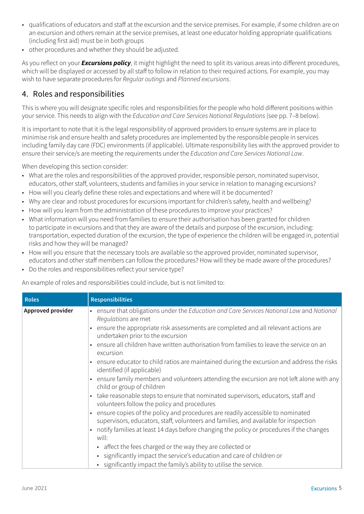- qualifications of educators and staff at the excursion and the service premises. For example, if some children are on an excursion and others remain at the service premises, at least one educator holding appropriate qualifications (including first aid) must be in both groups
- other procedures and whether they should be adjusted.

As you reflect on your *Excursions policy*, it might highlight the need to split its various areas into different procedures, which will be displayed or accessed by all staff to follow in relation to their required actions. For example, you may wish to have separate procedures for *Regular outings* and *Planned excursions*.

#### 4. Roles and responsibilities

This is where you will designate specific roles and responsibilities for the people who hold different positions within your service. This needs to align with the *Education and Care Services National Regulations* (see pp. 7–8 below).

It is important to note that it is the legal responsibility of approved providers to ensure systems are in place to minimise risk and ensure health and safety procedures are implemented by the responsible people in services including family day care (FDC) environments (if applicable). Ultimate responsibility lies with the approved provider to ensure their service/s are meeting the requirements under the *Education and Care Services National Law*.

When developing this section consider:

- What are the roles and responsibilities of the approved provider, responsible person, nominated supervisor, educators, other staff, volunteers, students and families in your service in relation to managing excursions?
- How will you clearly define these roles and expectations and where will it be documented?
- Why are clear and robust procedures for excursions important for children's safety, health and wellbeing?
- How will you learn from the administration of these procedures to improve your practices?
- What information will you need from families to ensure their authorisation has been granted for children to participate in excursions and that they are aware of the details and purpose of the excursion, including: transportation, expected duration of the excursion, the type of experience the children will be engaged in, potential risks and how they will be managed?
- How will you ensure that the necessary tools are available so the approved provider, nominated supervisor, educators and other staff members can follow the procedures? How will they be made aware of the procedures?
- Do the roles and responsibilities reflect your service type?

An example of roles and responsibilities could include, but is not limited to:

| <b>Roles</b>      | <b>Responsibilities</b>                                                                                                                                                                                                                                                                                                                                                                                                                                                                                                                                                                                                                                                             |
|-------------------|-------------------------------------------------------------------------------------------------------------------------------------------------------------------------------------------------------------------------------------------------------------------------------------------------------------------------------------------------------------------------------------------------------------------------------------------------------------------------------------------------------------------------------------------------------------------------------------------------------------------------------------------------------------------------------------|
| Approved provider | • ensure that obligations under the Education and Care Services National Law and National<br>Regulations are met<br>ensure the appropriate risk assessments are completed and all relevant actions are<br>undertaken prior to the excursion<br>ensure all children have written authorisation from families to leave the service on an<br>excursion<br>• ensure educator to child ratios are maintained during the excursion and address the risks<br>identified (if applicable)<br>ensure family members and volunteers attending the excursion are not left alone with any                                                                                                        |
|                   | child or group of children<br>take reasonable steps to ensure that nominated supervisors, educators, staff and<br>$\bullet$<br>volunteers follow the policy and procedures<br>ensure copies of the policy and procedures are readily accessible to nominated<br>supervisors, educators, staff, volunteers and families, and available for inspection<br>notify families at least 14 days before changing the policy or procedures if the changes<br>will:<br>• affect the fees charged or the way they are collected or<br>significantly impact the service's education and care of children or<br>$\bullet$<br>• significantly impact the family's ability to utilise the service. |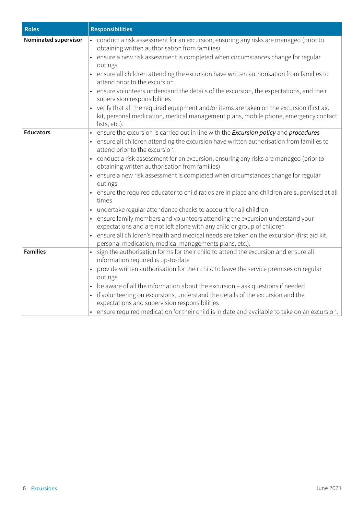| <b>Roles</b>         | <b>Responsibilities</b>                                                                                                                                                                                                                                                                                                                                                                                                                                                                                                                                                                                                                                                                                                                                                                                                                                                                                                                                               |
|----------------------|-----------------------------------------------------------------------------------------------------------------------------------------------------------------------------------------------------------------------------------------------------------------------------------------------------------------------------------------------------------------------------------------------------------------------------------------------------------------------------------------------------------------------------------------------------------------------------------------------------------------------------------------------------------------------------------------------------------------------------------------------------------------------------------------------------------------------------------------------------------------------------------------------------------------------------------------------------------------------|
| Nominated supervisor | • conduct a risk assessment for an excursion, ensuring any risks are managed (prior to<br>obtaining written authorisation from families)<br>ensure a new risk assessment is completed when circumstances change for regular<br>outings<br>ensure all children attending the excursion have written authorisation from families to<br>$\bullet$<br>attend prior to the excursion<br>ensure volunteers understand the details of the excursion, the expectations, and their<br>supervision responsibilities<br>verify that all the required equipment and/or items are taken on the excursion (first aid<br>kit, personal medication, medical management plans, mobile phone, emergency contact<br>lists, etc.).                                                                                                                                                                                                                                                        |
| <b>Educators</b>     | • ensure the excursion is carried out in line with the Excursion policy and procedures<br>ensure all children attending the excursion have written authorisation from families to<br>attend prior to the excursion<br>conduct a risk assessment for an excursion, ensuring any risks are managed (prior to<br>obtaining written authorisation from families)<br>ensure a new risk assessment is completed when circumstances change for regular<br>outings<br>ensure the required educator to child ratios are in place and children are supervised at all<br>$\bullet$<br>times<br>undertake regular attendance checks to account for all children<br>ensure family members and volunteers attending the excursion understand your<br>expectations and are not left alone with any child or group of children<br>ensure all children's health and medical needs are taken on the excursion (first aid kit,<br>personal medication, medical managements plans, etc.). |
| <b>Families</b>      | sign the authorisation forms for their child to attend the excursion and ensure all<br>information required is up-to-date<br>provide written authorisation for their child to leave the service premises on regular<br>outings<br>be aware of all the information about the excursion - ask questions if needed<br>if volunteering on excursions, understand the details of the excursion and the<br>expectations and supervision responsibilities<br>• ensure required medication for their child is in date and available to take on an excursion.                                                                                                                                                                                                                                                                                                                                                                                                                  |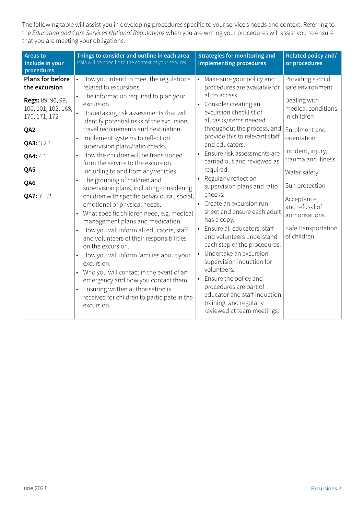The following table will assist you in developing procedures specific to your service's needs and context. Referring to the *Education and Care Services National Regulations* when you are writing your procedures will assist you to ensure that you are meeting your obligations.

| <b>Areas to</b><br>include in your<br>procedures                                                                                                                          | Things to consider and outline in each area<br>(this will be specific to the context of your service)                                                                                                                                                                                                                                                                                                                                                                                                                                                                                                                                                                                                                                                                                                                                                                                                                                                                                                                                                             | <b>Strategies for monitoring and</b><br>implementing procedures                                                                                                                                                                                                                                                                                                                                                                                                                                                                                                                                                                                                                                                                                                                | Related policy and/<br>or procedures                                                                                                                                                                                                                                                            |
|---------------------------------------------------------------------------------------------------------------------------------------------------------------------------|-------------------------------------------------------------------------------------------------------------------------------------------------------------------------------------------------------------------------------------------------------------------------------------------------------------------------------------------------------------------------------------------------------------------------------------------------------------------------------------------------------------------------------------------------------------------------------------------------------------------------------------------------------------------------------------------------------------------------------------------------------------------------------------------------------------------------------------------------------------------------------------------------------------------------------------------------------------------------------------------------------------------------------------------------------------------|--------------------------------------------------------------------------------------------------------------------------------------------------------------------------------------------------------------------------------------------------------------------------------------------------------------------------------------------------------------------------------------------------------------------------------------------------------------------------------------------------------------------------------------------------------------------------------------------------------------------------------------------------------------------------------------------------------------------------------------------------------------------------------|-------------------------------------------------------------------------------------------------------------------------------------------------------------------------------------------------------------------------------------------------------------------------------------------------|
| <b>Plans for before</b><br>the excursion<br>Regs: 89, 90, 99,<br>100, 101, 102, 168,<br>170, 171, 172<br>QA2<br>QA3: 3.2.1<br><b>QA4: 4.1</b><br>QA5<br>QA6<br>QA7: 7.1.2 | • How you intend to meet the regulations<br>related to excursions.<br>The information required to plan your<br>excursion.<br>• Undertaking risk assessments that will<br>identify potential risks of the excursion,<br>travel requirements and destination.<br>Implement systems to reflect on<br>supervision plans/ratio checks.<br>How the children will be transitioned<br>from the service to the excursion,<br>including to and from any vehicles.<br>The grouping of children and<br>supervision plans, including considering<br>children with specific behavioural, social,<br>emotional or physical needs.<br>• What specific children need, e.g. medical<br>management plans and medication.<br>How you will inform all educators, staff<br>and volunteers of their responsibilities<br>on the excursion.<br>How you will inform families about your<br>excursion.<br>• Who you will contact in the event of an<br>emergency and how you contact them.<br>Ensuring written authorisation is<br>received for children to participate in the<br>excursion. | Make sure your policy and<br>procedures are available for<br>all to access.<br>Consider creating an<br>excursion checklist of<br>all tasks/items needed<br>throughout the process, and<br>provide this to relevant staff<br>and educators.<br>Ensure risk assessments are<br>carried out and reviewed as<br>required.<br>Regularly reflect on<br>supervision plans and ratio<br>checks.<br>Create an excursion run<br>sheet and ensure each adult<br>has a copy.<br>Ensure all educators, staff<br>and volunteers understand<br>each step of the procedures.<br>Undertake an excursion<br>supervision induction for<br>volunteers.<br>Ensure the policy and<br>procedures are part of<br>educator and staff induction<br>training, and regularly<br>reviewed at team meetings. | Providing a child<br>safe environment<br>Dealing with<br>medical conditions<br>in children<br>Enrolment and<br>orientation<br>Incident, injury,<br>trauma and illness<br>Water safety<br>Sun protection<br>Acceptance<br>and refusal of<br>authorisations<br>Safe transportation<br>of children |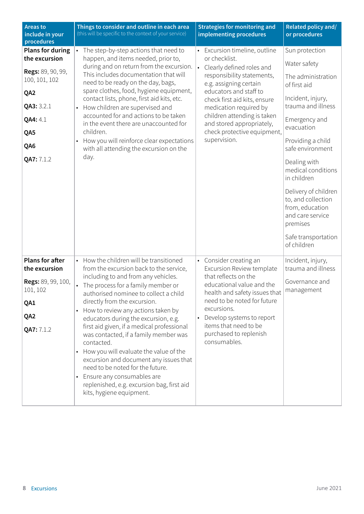| <b>Areas to</b><br>include in your<br>procedures                                                                                                   | Things to consider and outline in each area<br>(this will be specific to the context of your service)                                                                                                                                                                                                                                                                                                                                                                                                                                                                                                                                                               | <b>Strategies for monitoring and</b><br>implementing procedures                                                                                                                                                                                                                                                                  | Related policy and/<br>or procedures                                                                                                                                                                                                                                                                                                                                                |
|----------------------------------------------------------------------------------------------------------------------------------------------------|---------------------------------------------------------------------------------------------------------------------------------------------------------------------------------------------------------------------------------------------------------------------------------------------------------------------------------------------------------------------------------------------------------------------------------------------------------------------------------------------------------------------------------------------------------------------------------------------------------------------------------------------------------------------|----------------------------------------------------------------------------------------------------------------------------------------------------------------------------------------------------------------------------------------------------------------------------------------------------------------------------------|-------------------------------------------------------------------------------------------------------------------------------------------------------------------------------------------------------------------------------------------------------------------------------------------------------------------------------------------------------------------------------------|
| <b>Plans for during</b><br>the excursion<br>Regs: 89, 90, 99,<br>100, 101, 102<br>QA2<br>QA3: 3.2.1<br><b>QA4: 4.1</b><br>QA5<br>QA6<br>QA7: 7.1.2 | • The step-by-step actions that need to<br>happen, and items needed, prior to,<br>during and on return from the excursion.<br>This includes documentation that will<br>need to be ready on the day, bags,<br>spare clothes, food, hygiene equipment,<br>contact lists, phone, first aid kits, etc.<br>How children are supervised and<br>$\bullet$<br>accounted for and actions to be taken<br>in the event there are unaccounted for<br>children.<br>How you will reinforce clear expectations<br>with all attending the excursion on the<br>day.                                                                                                                  | Excursion timeline, outline<br>or checklist.<br>Clearly defined roles and<br>responsibility statements,<br>e.g. assigning certain<br>educators and staff to<br>check first aid kits, ensure<br>medication required by<br>children attending is taken<br>and stored appropriately,<br>check protective equipment,<br>supervision. | Sun protection<br>Water safety<br>The administration<br>of first aid<br>Incident, injury,<br>trauma and illness<br>Emergency and<br>evacuation<br>Providing a child<br>safe environment<br>Dealing with<br>medical conditions<br>in children<br>Delivery of children<br>to, and collection<br>from, education<br>and care service<br>premises<br>Safe transportation<br>of children |
| <b>Plans for after</b><br>the excursion<br>Regs: 89, 99, 100,<br>101, 102<br>QA1<br>QA2<br>QA7: 7.1.2                                              | • How the children will be transitioned<br>from the excursion back to the service,<br>including to and from any vehicles.<br>• The process for a family member or<br>authorised nominee to collect a child<br>directly from the excursion.<br>• How to review any actions taken by<br>educators during the excursion, e.g.<br>first aid given, if a medical professional<br>was contacted, if a family member was<br>contacted.<br>• How you will evaluate the value of the<br>excursion and document any issues that<br>need to be noted for the future.<br>• Ensure any consumables are<br>replenished, e.g. excursion bag, first aid<br>kits, hygiene equipment. | Consider creating an<br>$\bullet$<br>Excursion Review template<br>that reflects on the<br>educational value and the<br>health and safety issues that<br>need to be noted for future<br>excursions.<br>Develop systems to report<br>items that need to be<br>purchased to replenish<br>consumables.                               | Incident, injury,<br>trauma and illness<br>Governance and<br>management                                                                                                                                                                                                                                                                                                             |